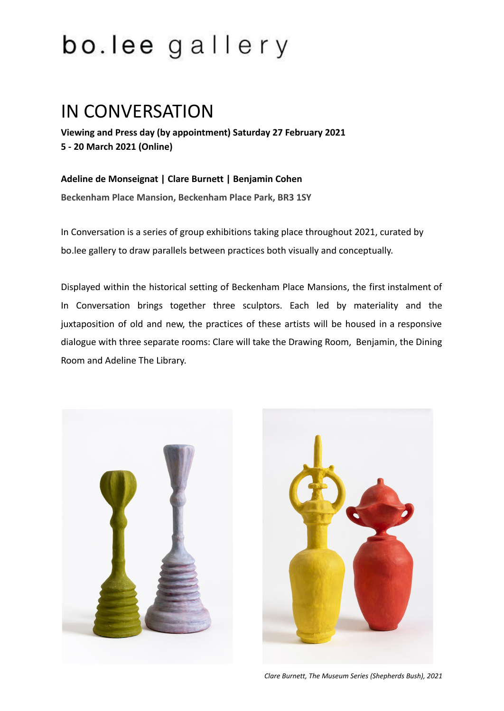## bo.lee gallery

## IN CONVERSATION

**Viewing and Press day (by appointment) Saturday 27 February 2021 5 - 20 March 2021 (Online)**

**Adeline de Monseignat | Clare Burnett | Benjamin Cohen Beckenham Place Mansion, Beckenham Place Park, BR3 1SY**

In Conversation is a series of group exhibitions taking place throughout 2021, curated by bo.lee gallery to draw parallels between practices both visually and conceptually.

Displayed within the historical setting of Beckenham Place Mansions, the first instalment of In Conversation brings together three sculptors. Each led by materiality and the juxtaposition of old and new, the practices of these artists will be housed in a responsive dialogue with three separate rooms: Clare will take the Drawing Room, Benjamin, the Dining Room and Adeline The Library.



*Clare Burnett, The Museum Series (Shepherds Bush), 2021*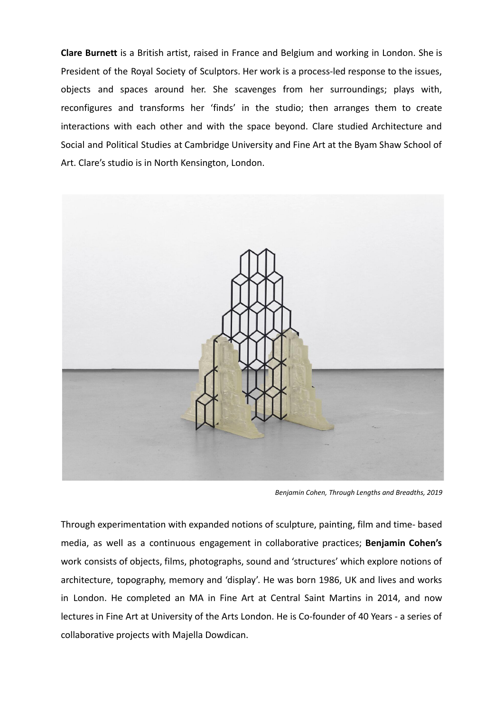**Clare Burnett** is a British artist, raised in France and Belgium and working in London. She is President of the Royal Society of Sculptors. Her work is a process-led response to the issues, objects and spaces around her. She scavenges from her surroundings; plays with, reconfigures and transforms her 'finds' in the studio; then arranges them to create interactions with each other and with the space beyond. Clare studied Architecture and Social and Political Studies at Cambridge University and Fine Art at the Byam Shaw School of Art. Clare's studio is in North Kensington, London.



*Benjamin Cohen, Through Lengths and Breadths, 2019*

Through experimentation with expanded notions of sculpture, painting, film and time- based media, as well as a continuous engagement in collaborative practices; **Benjamin Cohen's** work consists of objects, films, photographs, sound and 'structures' which explore notions of architecture, topography, memory and 'display'. He was born 1986, UK and lives and works in London. He completed an MA in Fine Art at Central Saint Martins in 2014, and now lectures in Fine Art at University of the Arts London. He is Co-founder of 40 Years - a series of collaborative projects with Majella Dowdican.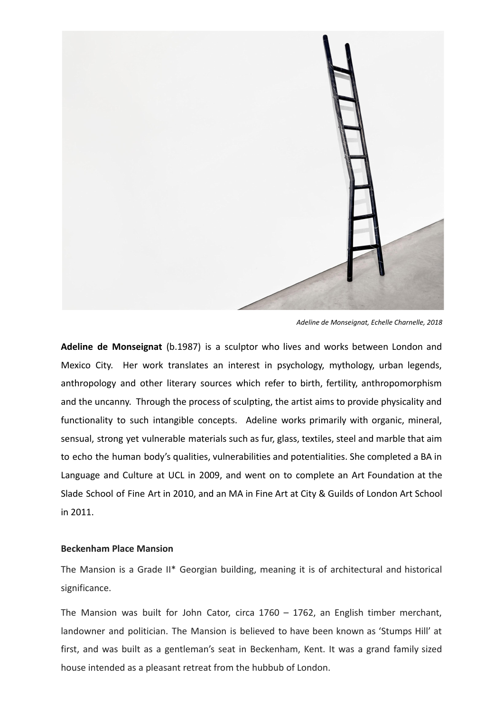

*Adeline de Monseignat, Echelle Charnelle, 2018*

**Adeline de Monseignat** (b.1987) is a sculptor who lives and works between London and Mexico City. Her work translates an interest in psychology, mythology, urban legends, anthropology and other literary sources which refer to birth, fertility, anthropomorphism and the uncanny. Through the process of sculpting, the artist aims to provide physicality and functionality to such intangible concepts. Adeline works primarily with organic, mineral, sensual, strong yet vulnerable materials such as fur, glass, textiles, steel and marble that aim to echo the human body's qualities, vulnerabilities and potentialities. She completed a BA in Language and Culture at UCL in 2009, and went on to complete an Art Foundation at the Slade School of Fine Art in 2010, and an MA in Fine Art at City & Guilds of London Art School in 2011.

## **Beckenham Place Mansion**

The Mansion is a Grade II\* Georgian building, meaning it is of architectural and historical significance.

The Mansion was built for John Cator, circa 1760 – 1762, an English timber merchant, landowner and politician. The Mansion is believed to have been known as 'Stumps Hill' at first, and was built as a gentleman's seat in Beckenham, Kent. It was a grand family sized house intended as a pleasant retreat from the hubbub of London.